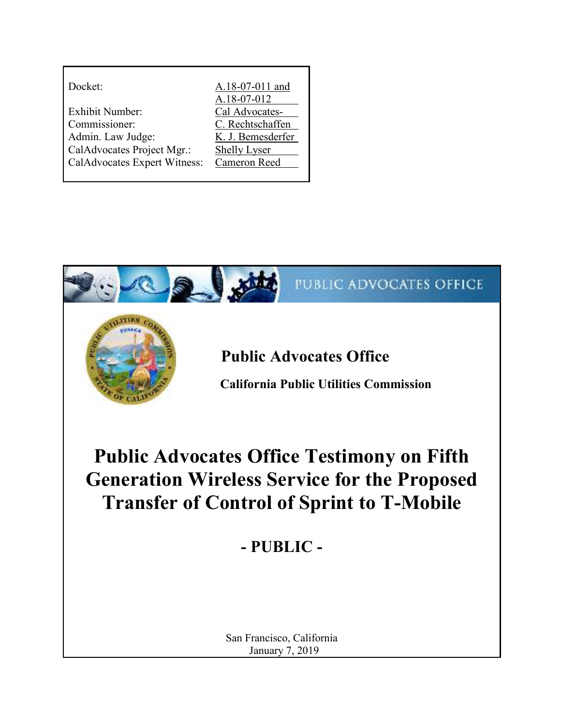| Docket:                      | A.18-07-011 and<br>A.18-07-012 |
|------------------------------|--------------------------------|
| Exhibit Number:              | Cal Advocates-                 |
| Commissioner:                | C. Rechtschaffen               |
| Admin. Law Judge:            | K. J. Bemesderfer              |
| CalAdvocates Project Mgr.:   | <b>Shelly Lyser</b>            |
| CalAdvocates Expert Witness: | Cameron Reed                   |

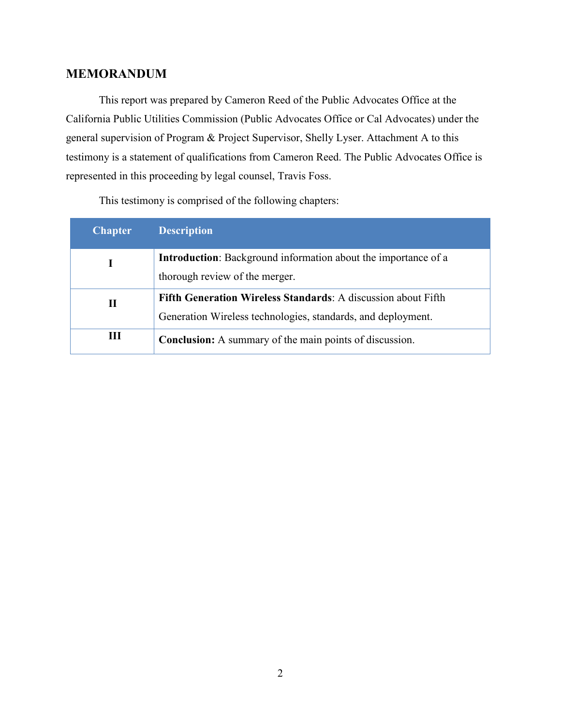### **MEMORANDUM**

This report was prepared by Cameron Reed of the Public Advocates Office at the California Public Utilities Commission (Public Advocates Office or Cal Advocates) under the general supervision of Program & Project Supervisor, Shelly Lyser. Attachment A to this testimony is a statement of qualifications from Cameron Reed. The Public Advocates Office is represented in this proceeding by legal counsel, Travis Foss.

| <b>Chapter</b> | <b>Description</b>                                                    |
|----------------|-----------------------------------------------------------------------|
|                | <b>Introduction:</b> Background information about the importance of a |
|                | thorough review of the merger.                                        |
| П              | Fifth Generation Wireless Standards: A discussion about Fifth         |
|                | Generation Wireless technologies, standards, and deployment.          |
| Ш              | <b>Conclusion:</b> A summary of the main points of discussion.        |

This testimony is comprised of the following chapters: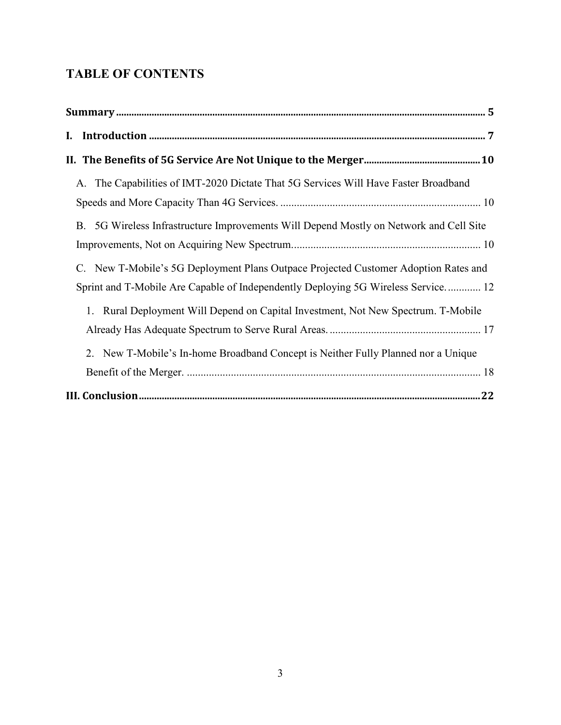# **TABLE OF CONTENTS**

| A. The Capabilities of IMT-2020 Dictate That 5G Services Will Have Faster Broadband                                                                                      |  |
|--------------------------------------------------------------------------------------------------------------------------------------------------------------------------|--|
| B. 5G Wireless Infrastructure Improvements Will Depend Mostly on Network and Cell Site                                                                                   |  |
| C. New T-Mobile's 5G Deployment Plans Outpace Projected Customer Adoption Rates and<br>Sprint and T-Mobile Are Capable of Independently Deploying 5G Wireless Service 12 |  |
| 1. Rural Deployment Will Depend on Capital Investment, Not New Spectrum. T-Mobile                                                                                        |  |
| 2. New T-Mobile's In-home Broadband Concept is Neither Fully Planned nor a Unique                                                                                        |  |
|                                                                                                                                                                          |  |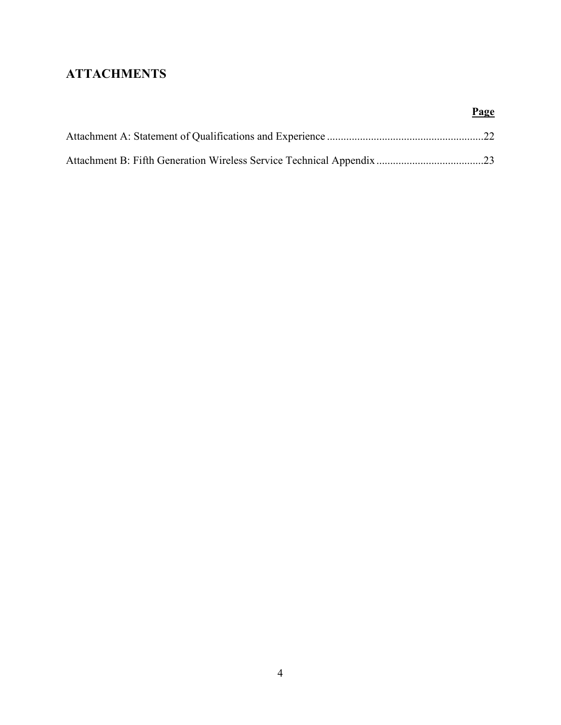# **ATTACHMENTS**

**Page**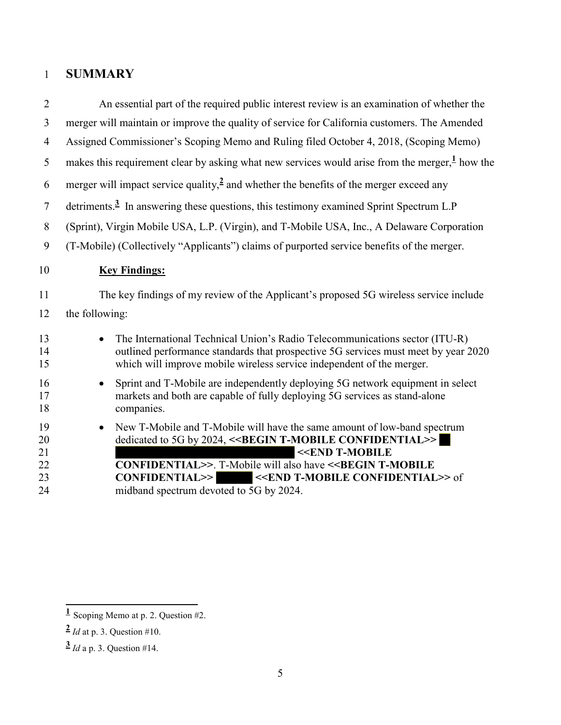# 1 **SUMMARY**

| $\overline{2}$                   | An essential part of the required public interest review is an examination of whether the                                                                                                                                                                                                                                                                                                               |  |
|----------------------------------|---------------------------------------------------------------------------------------------------------------------------------------------------------------------------------------------------------------------------------------------------------------------------------------------------------------------------------------------------------------------------------------------------------|--|
| $\overline{3}$                   | merger will maintain or improve the quality of service for California customers. The Amended                                                                                                                                                                                                                                                                                                            |  |
| $\overline{4}$                   | Assigned Commissioner's Scoping Memo and Ruling filed October 4, 2018, (Scoping Memo)                                                                                                                                                                                                                                                                                                                   |  |
| 5                                | makes this requirement clear by asking what new services would arise from the merger, $\frac{1}{2}$ how the                                                                                                                                                                                                                                                                                             |  |
| 6                                | merger will impact service quality, $\frac{2}{3}$ and whether the benefits of the merger exceed any                                                                                                                                                                                                                                                                                                     |  |
| $\overline{7}$                   | detriments. <sup>3</sup> In answering these questions, this testimony examined Sprint Spectrum L.P                                                                                                                                                                                                                                                                                                      |  |
| 8                                | (Sprint), Virgin Mobile USA, L.P. (Virgin), and T-Mobile USA, Inc., A Delaware Corporation                                                                                                                                                                                                                                                                                                              |  |
| 9                                | (T-Mobile) (Collectively "Applicants") claims of purported service benefits of the merger.                                                                                                                                                                                                                                                                                                              |  |
| 10                               | <b>Key Findings:</b>                                                                                                                                                                                                                                                                                                                                                                                    |  |
| 11                               | The key findings of my review of the Applicant's proposed 5G wireless service include                                                                                                                                                                                                                                                                                                                   |  |
| 12                               | the following:                                                                                                                                                                                                                                                                                                                                                                                          |  |
| 13<br>14<br>15                   | The International Technical Union's Radio Telecommunications sector (ITU-R)<br>$\bullet$<br>outlined performance standards that prospective 5G services must meet by year 2020<br>which will improve mobile wireless service independent of the merger.                                                                                                                                                 |  |
| 16<br>17<br>18                   | Sprint and T-Mobile are independently deploying 5G network equipment in select<br>$\bullet$<br>markets and both are capable of fully deploying 5G services as stand-alone<br>companies.                                                                                                                                                                                                                 |  |
| 19<br>20<br>21<br>22<br>23<br>24 | New T-Mobile and T-Mobile will have the same amount of low-band spectrum<br>dedicated to 5G by 2024, < <begin confidential="" t-mobile="">&gt;<br/>&lt;<end t-mobile<br="">CONFIDENTIAL&gt;&gt;. T-Mobile will also have &lt;<begin t-mobile<br=""><b>CONFIDENTIAL&gt;&gt;</b><br/>&lt;<end confidential="" t-mobile="">&gt; of<br/>midband spectrum devoted to 5G by 2024.</end></begin></end></begin> |  |
|                                  |                                                                                                                                                                                                                                                                                                                                                                                                         |  |

 **1** Scoping Memo at p. 2. Question #2.

**<sup>2</sup>** *Id* at p. 3. Question #10.

**<sup>3</sup>** *Id* a p. 3. Question #14.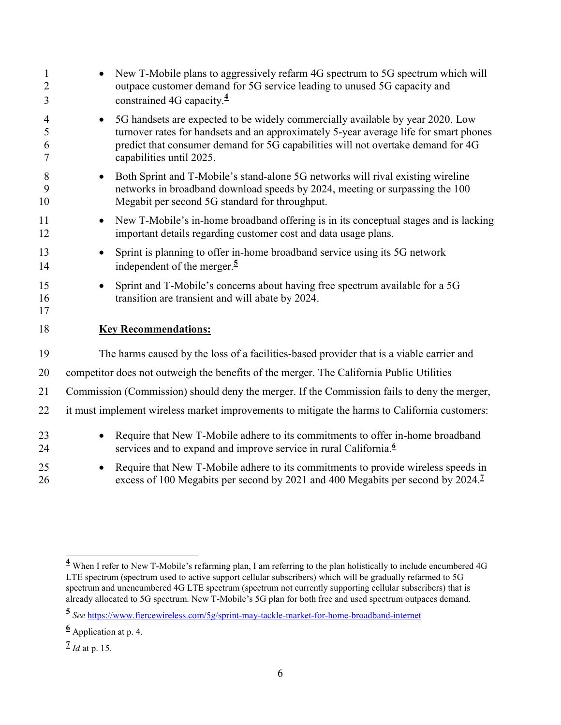| $\mathbf{1}$<br>$\overline{2}$<br>3 | New T-Mobile plans to aggressively refarm 4G spectrum to 5G spectrum which will<br>outpace customer demand for 5G service leading to unused 5G capacity and<br>constrained 4G capacity. $\frac{4}{3}$                                                                                                |
|-------------------------------------|------------------------------------------------------------------------------------------------------------------------------------------------------------------------------------------------------------------------------------------------------------------------------------------------------|
| 4<br>5<br>6<br>7                    | 5G handsets are expected to be widely commercially available by year 2020. Low<br>$\bullet$<br>turnover rates for handsets and an approximately 5-year average life for smart phones<br>predict that consumer demand for 5G capabilities will not overtake demand for 4G<br>capabilities until 2025. |
| 8<br>9<br>10                        | Both Sprint and T-Mobile's stand-alone 5G networks will rival existing wireline<br>$\bullet$<br>networks in broadband download speeds by 2024, meeting or surpassing the 100<br>Megabit per second 5G standard for throughput.                                                                       |
| 11<br>12                            | New T-Mobile's in-home broadband offering is in its conceptual stages and is lacking<br>$\bullet$<br>important details regarding customer cost and data usage plans.                                                                                                                                 |
| 13<br>14                            | Sprint is planning to offer in-home broadband service using its 5G network<br>independent of the merger. $\frac{5}{2}$                                                                                                                                                                               |
| 15<br>16<br>17                      | Sprint and T-Mobile's concerns about having free spectrum available for a 5G<br>transition are transient and will abate by 2024.                                                                                                                                                                     |
| 18                                  | <b>Key Recommendations:</b>                                                                                                                                                                                                                                                                          |
| 19                                  | The harms caused by the loss of a facilities-based provider that is a viable carrier and                                                                                                                                                                                                             |
| 20                                  | competitor does not outweigh the benefits of the merger. The California Public Utilities                                                                                                                                                                                                             |
| 21                                  | Commission (Commission) should deny the merger. If the Commission fails to deny the merger,                                                                                                                                                                                                          |
| 22                                  | it must implement wireless market improvements to mitigate the harms to California customers:                                                                                                                                                                                                        |
| 23<br>24                            | Require that New T-Mobile adhere to its commitments to offer in-home broadband<br>services and to expand and improve service in rural California. <sup>6</sup>                                                                                                                                       |
| 25<br>26                            | Require that New T-Mobile adhere to its commitments to provide wireless speeds in<br>excess of 100 Megabits per second by 2021 and 400 Megabits per second by 2024. <sup>7</sup>                                                                                                                     |

 **4** When I refer to New T-Mobile's refarming plan, I am referring to the plan holistically to include encumbered 4G LTE spectrum (spectrum used to active support cellular subscribers) which will be gradually refarmed to 5G spectrum and unencumbered 4G LTE spectrum (spectrum not currently supporting cellular subscribers) that is already allocated to 5G spectrum. New T-Mobile's 5G plan for both free and used spectrum outpaces demand.

**<sup>5</sup>** *See* https://www.fiercewireless.com/5g/sprint-may-tackle-market-for-home-broadband-internet

**<sup>6</sup>** Application at p. 4.

**<sup>7</sup>** *Id* at p. 15.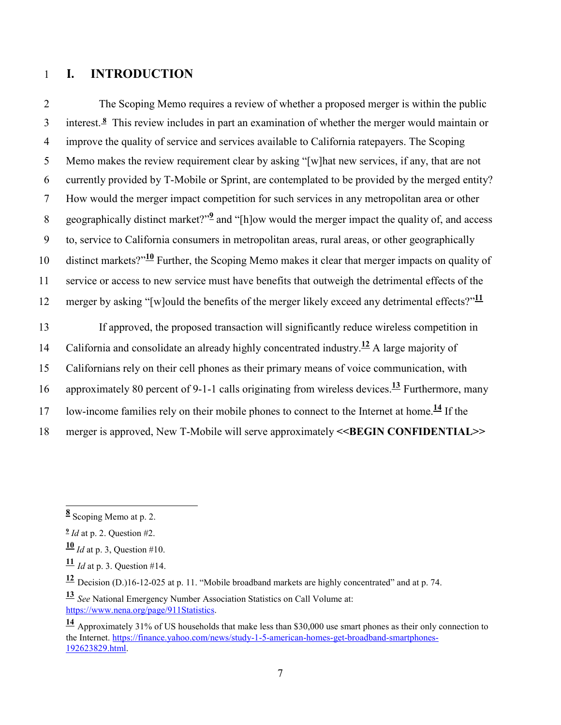#### 1 **I. INTRODUCTION**

2 The Scoping Memo requires a review of whether a proposed merger is within the public interest.**<sup>8</sup>** 3 This review includes in part an examination of whether the merger would maintain or 4 improve the quality of service and services available to California ratepayers. The Scoping 5 Memo makes the review requirement clear by asking "[w]hat new services, if any, that are not 6 currently provided by T-Mobile or Sprint, are contemplated to be provided by the merged entity? 7 How would the merger impact competition for such services in any metropolitan area or other 8 geographically distinct market?"<sup>2</sup> and "[h]ow would the merger impact the quality of, and access 9 to, service to California consumers in metropolitan areas, rural areas, or other geographically 10 distinct markets?"<sup>10</sup> Further, the Scoping Memo makes it clear that merger impacts on quality of 11 service or access to new service must have benefits that outweigh the detrimental effects of the 12 merger by asking "[w]ould the benefits of the merger likely exceed any detrimental effects?"<sup>11</sup>

13 If approved, the proposed transaction will significantly reduce wireless competition in 14 California and consolidate an already highly concentrated industry.<sup>12</sup> A large majority of 15 Californians rely on their cell phones as their primary means of voice communication, with 16 approximately 80 percent of 9-1-1 calls originating from wireless devices.<sup>13</sup> Furthermore, many low-income families rely on their mobile phones to connect to the Internet at home.**<sup>14</sup>** 17 If the 18 merger is approved, New T-Mobile will serve approximately **<<BEGIN CONFIDENTIAL>>**

 **8** Scoping Memo at p. 2.

**<sup>9</sup>** *Id* at p. 2. Question #2.

**<sup>10</sup>** *Id* at p. 3, Question #10.

**<sup>11</sup>** *Id* at p. 3. Question #14.

**<sup>12</sup>** Decision (D.)16-12-025 at p. 11. "Mobile broadband markets are highly concentrated" and at p. 74.

**<sup>13</sup>** *See* National Emergency Number Association Statistics on Call Volume at: https://www.nena.org/page/911Statistics.

**<sup>14</sup>** Approximately 31% of US households that make less than \$30,000 use smart phones as their only connection to the Internet. https://finance.yahoo.com/news/study-1-5-american-homes-get-broadband-smartphones-192623829.html.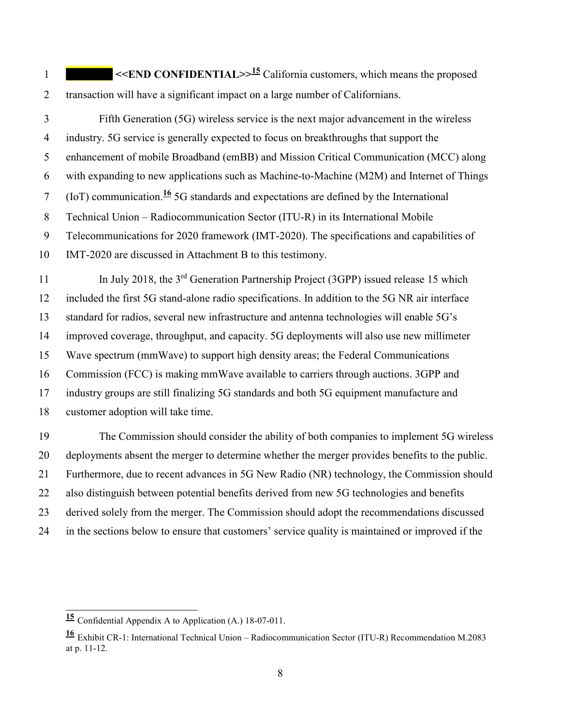**1**  $\leq$ **END CONFIDENTIAL**> $>$ <sup>15</sup> California customers, which means the proposed 2 transaction will have a significant impact on a large number of Californians.

3 Fifth Generation (5G) wireless service is the next major advancement in the wireless 4 industry. 5G service is generally expected to focus on breakthroughs that support the 5 enhancement of mobile Broadband (emBB) and Mission Critical Communication (MCC) along 6 with expanding to new applications such as Machine-to-Machine (M2M) and Internet of Things (IoT) communication.**<sup>16</sup>** 7 5G standards and expectations are defined by the International 8 Technical Union – Radiocommunication Sector (ITU-R) in its International Mobile 9 Telecommunications for 2020 framework (IMT-2020). The specifications and capabilities of IMT-2020 are discussed in Attachment B to this testimony. 10

In July 2018, the 3<sup>rd</sup> Generation Partnership Project (3GPP) issued release 15 which 12 included the first 5G stand-alone radio specifications. In addition to the 5G NR air interface 13 standard for radios, several new infrastructure and antenna technologies will enable 5G's 14 improved coverage, throughput, and capacity. 5G deployments will also use new millimeter 15 Wave spectrum (mmWave) to support high density areas; the Federal Communications 16 Commission (FCC) is making mmWave available to carriers through auctions. 3GPP and 17 industry groups are still finalizing 5G standards and both 5G equipment manufacture and 18 customer adoption will take time.

19 The Commission should consider the ability of both companies to implement 5G wireless 20 deployments absent the merger to determine whether the merger provides benefits to the public. 21 Furthermore, due to recent advances in 5G New Radio (NR) technology, the Commission should 22 also distinguish between potential benefits derived from new 5G technologies and benefits 23 derived solely from the merger. The Commission should adopt the recommendations discussed 24 in the sections below to ensure that customers' service quality is maintained or improved if the

 $\overline{1}$ 

**<sup>15</sup>** Confidential Appendix A to Application (A.) 18-07-011.

**<sup>16</sup>** Exhibit CR-1: International Technical Union – Radiocommunication Sector (ITU-R) Recommendation M.2083 at p. 11-12.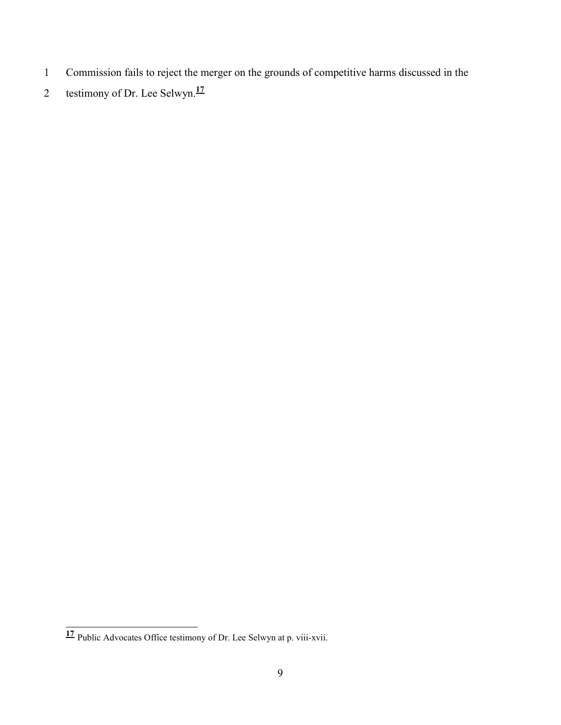- 1 Commission fails to reject the merger on the grounds of competitive harms discussed in the
- 2 testimony of Dr. Lee Selwyn.<sup>17</sup>

 $\frac{1}{4}$ **<sup>17</sup>** Public Advocates Office testimony of Dr. Lee Selwyn at p. viii-xvii.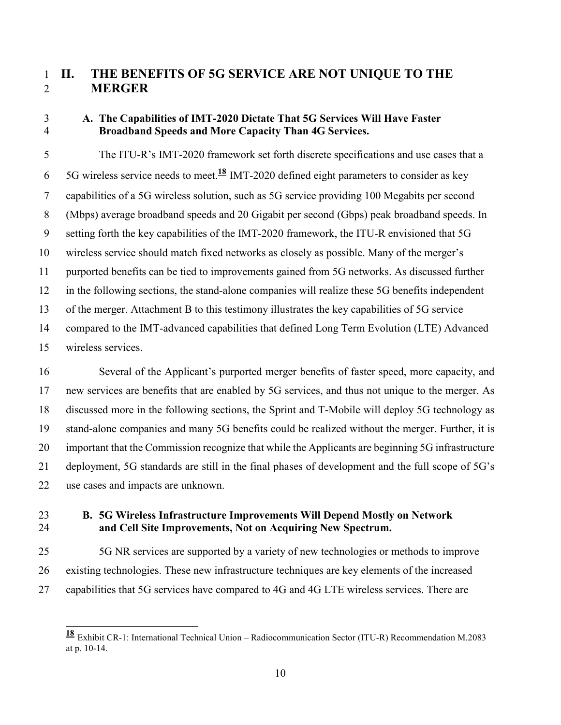## 1 **II. THE BENEFITS OF 5G SERVICE ARE NOT UNIQUE TO THE**  2 **MERGER**

#### 3 **A. The Capabilities of IMT-2020 Dictate That 5G Services Will Have Faster**  4 **Broadband Speeds and More Capacity Than 4G Services.**

5 The ITU-R's IMT-2020 framework set forth discrete specifications and use cases that a 6 5G wireless service needs to meet.<sup>18</sup> IMT-2020 defined eight parameters to consider as key 7 capabilities of a 5G wireless solution, such as 5G service providing 100 Megabits per second 8 (Mbps) average broadband speeds and 20 Gigabit per second (Gbps) peak broadband speeds. In 9 setting forth the key capabilities of the IMT-2020 framework, the ITU-R envisioned that 5G 10 wireless service should match fixed networks as closely as possible. Many of the merger's 11 purported benefits can be tied to improvements gained from 5G networks. As discussed further 12 in the following sections, the stand-alone companies will realize these 5G benefits independent 13 of the merger. Attachment B to this testimony illustrates the key capabilities of 5G service 14 compared to the IMT-advanced capabilities that defined Long Term Evolution (LTE) Advanced 15 wireless services.

16 Several of the Applicant's purported merger benefits of faster speed, more capacity, and 17 new services are benefits that are enabled by 5G services, and thus not unique to the merger. As 18 discussed more in the following sections, the Sprint and T-Mobile will deploy 5G technology as 19 stand-alone companies and many 5G benefits could be realized without the merger. Further, it is 20 important that the Commission recognize that while the Applicants are beginning 5G infrastructure 21 deployment, 5G standards are still in the final phases of development and the full scope of 5G's 22 use cases and impacts are unknown.

 $\overline{1}$ 

### 23 **B. 5G Wireless Infrastructure Improvements Will Depend Mostly on Network**  24 **and Cell Site Improvements, Not on Acquiring New Spectrum.**

25 5G NR services are supported by a variety of new technologies or methods to improve 26 existing technologies. These new infrastructure techniques are key elements of the increased 27 capabilities that 5G services have compared to 4G and 4G LTE wireless services. There are

**<sup>18</sup>** Exhibit CR-1: International Technical Union – Radiocommunication Sector (ITU-R) Recommendation M.2083 at p. 10-14.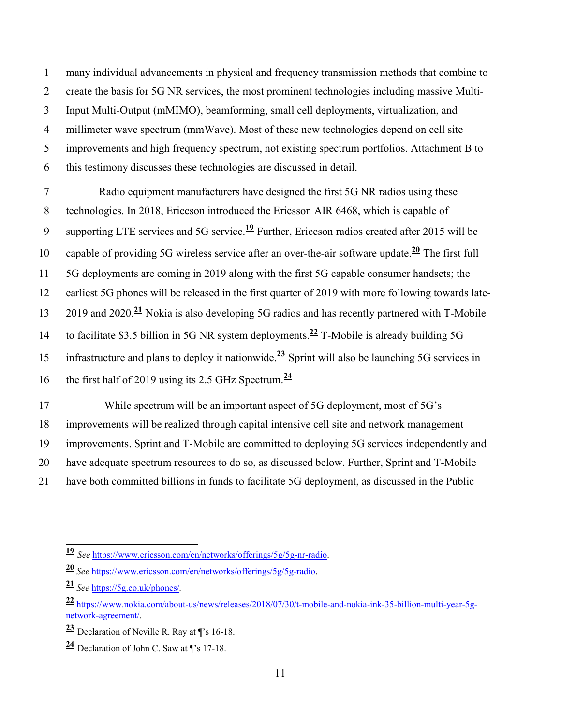1 many individual advancements in physical and frequency transmission methods that combine to 2 create the basis for 5G NR services, the most prominent technologies including massive Multi-3 Input Multi-Output (mMIMO), beamforming, small cell deployments, virtualization, and 4 millimeter wave spectrum (mmWave). Most of these new technologies depend on cell site 5 improvements and high frequency spectrum, not existing spectrum portfolios. Attachment B to 6 this testimony discusses these technologies are discussed in detail.

7 Radio equipment manufacturers have designed the first 5G NR radios using these 8 technologies. In 2018, Ericcson introduced the Ericsson AIR 6468, which is capable of 9 supporting LTE services and 5G service.<sup>19</sup> Further, Ericcson radios created after 2015 will be 10 capable of providing 5G wireless service after an over-the-air software update.<sup>20</sup> The first full 11 5G deployments are coming in 2019 along with the first 5G capable consumer handsets; the 12 earliest 5G phones will be released in the first quarter of 2019 with more following towards late-2019 and 2020.**<sup>21</sup>** 13 Nokia is also developing 5G radios and has recently partnered with T-Mobile 14 to facilitate \$3.5 billion in 5G NR system deployments.<sup>22</sup> T-Mobile is already building 5G 15 infrastructure and plans to deploy it nationwide.<sup>23</sup> Sprint will also be launching 5G services in the first half of 2019 using its 2.5 GHz Spectrum.**<sup>24</sup>** 16

17 While spectrum will be an important aspect of 5G deployment, most of 5G's 18 improvements will be realized through capital intensive cell site and network management 19 improvements. Sprint and T-Mobile are committed to deploying 5G services independently and 20 have adequate spectrum resources to do so, as discussed below. Further, Sprint and T-Mobile 21 have both committed billions in funds to facilitate 5G deployment, as discussed in the Public

 $\frac{1}{4}$ 

**<sup>19</sup>** *See* https://www.ericsson.com/en/networks/offerings/5g/5g-nr-radio.

**<sup>20</sup>** *See* https://www.ericsson.com/en/networks/offerings/5g/5g-radio.

**<sup>21</sup>** *See* https://5g.co.uk/phones/*.*

**<sup>22</sup>** https://www.nokia.com/about-us/news/releases/2018/07/30/t-mobile-and-nokia-ink-35-billion-multi-year-5gnetwork-agreement/.

**<sup>23</sup>** Declaration of Neville R. Ray at ¶'s 16-18.

**<sup>24</sup>** Declaration of John C. Saw at ¶'s 17-18.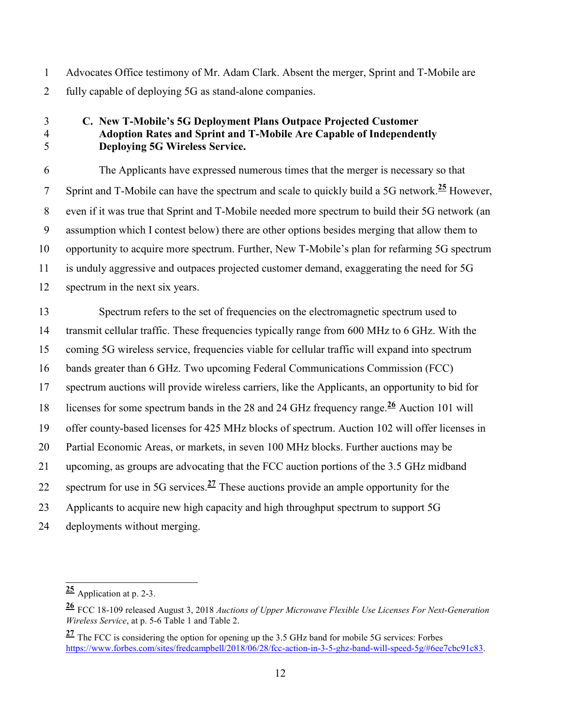1 Advocates Office testimony of Mr. Adam Clark. Absent the merger, Sprint and T-Mobile are 2 fully capable of deploying 5G as stand-alone companies.

#### 3 **C. New T-Mobile's 5G Deployment Plans Outpace Projected Customer**  4 **Adoption Rates and Sprint and T-Mobile Are Capable of Independently**  5 **Deploying 5G Wireless Service.**

6 The Applicants have expressed numerous times that the merger is necessary so that Sprint and T-Mobile can have the spectrum and scale to quickly build a 5G network.<sup>25</sup> However. 8 even if it was true that Sprint and T-Mobile needed more spectrum to build their 5G network (an 9 assumption which I contest below) there are other options besides merging that allow them to 10 opportunity to acquire more spectrum. Further, New T-Mobile's plan for refarming 5G spectrum 11 is unduly aggressive and outpaces projected customer demand, exaggerating the need for 5G 12 spectrum in the next six years.

13 Spectrum refers to the set of frequencies on the electromagnetic spectrum used to 14 transmit cellular traffic. These frequencies typically range from 600 MHz to 6 GHz. With the 15 coming 5G wireless service, frequencies viable for cellular traffic will expand into spectrum 16 bands greater than 6 GHz. Two upcoming Federal Communications Commission (FCC) 17 spectrum auctions will provide wireless carriers, like the Applicants, an opportunity to bid for licenses for some spectrum bands in the 28 and 24 GHz frequency range.<sup>26</sup> Auction 101 will 19 offer county-based licenses for 425 MHz blocks of spectrum. Auction 102 will offer licenses in 20 Partial Economic Areas, or markets, in seven 100 MHz blocks. Further auctions may be 21 upcoming, as groups are advocating that the FCC auction portions of the 3.5 GHz midband spectrum for use in 5G services. $\frac{27}{1}$  These auctions provide an ample opportunity for the 23 Applicants to acquire new high capacity and high throughput spectrum to support 5G 24 deployments without merging.

 $\overline{a}$ **<sup>25</sup>** Application at p. 2-3.

**<sup>26</sup>** FCC 18-109 released August 3, 2018 *Auctions of Upper Microwave Flexible Use Licenses For Next-Generation Wireless Service*, at p. 5-6 Table 1 and Table 2.

**<sup>27</sup>** The FCC is considering the option for opening up the 3.5 GHz band for mobile 5G services: Forbes https://www.forbes.com/sites/fredcampbell/2018/06/28/fcc-action-in-3-5-ghz-band-will-speed-5g/#6ee7cbc91c83.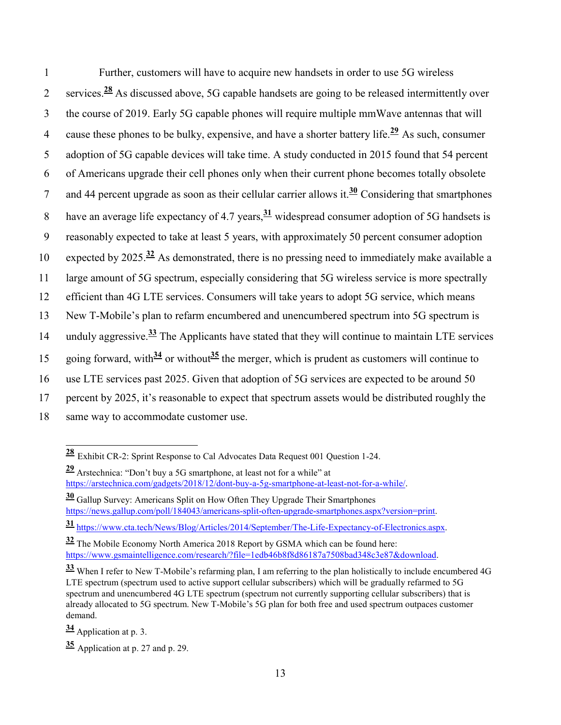1 Further, customers will have to acquire new handsets in order to use 5G wireless 2 services.<sup>28</sup> As discussed above, 5G capable handsets are going to be released intermittently over 3 the course of 2019. Early 5G capable phones will require multiple mmWave antennas that will 4 cause these phones to be bulky, expensive, and have a shorter battery life.<sup>29</sup> As such, consumer 5 adoption of 5G capable devices will take time. A study conducted in 2015 found that 54 percent 6 of Americans upgrade their cell phones only when their current phone becomes totally obsolete 7 and 44 percent upgrade as soon as their cellular carrier allows it.<sup>30</sup> Considering that smartphones have an average life expectancy of 4.7 years,  $\frac{31}{2}$  widespread consumer adoption of 5G handsets is 9 reasonably expected to take at least 5 years, with approximately 50 percent consumer adoption 10 expected by 2025.<sup>32</sup> As demonstrated, there is no pressing need to immediately make available a 11 large amount of 5G spectrum, especially considering that 5G wireless service is more spectrally 12 efficient than 4G LTE services. Consumers will take years to adopt 5G service, which means 13 New T-Mobile's plan to refarm encumbered and unencumbered spectrum into 5G spectrum is 14 unduly aggressive.<sup>33</sup> The Applicants have stated that they will continue to maintain LTE services 15 going forward, with $\frac{34}{3}$  or without  $\frac{35}{3}$  the merger, which is prudent as customers will continue to 16 use LTE services past 2025. Given that adoption of 5G services are expected to be around 50 17 percent by 2025, it's reasonable to expect that spectrum assets would be distributed roughly the 18 same way to accommodate customer use.

**<sup>31</sup>** https://www.cta.tech/News/Blog/Articles/2014/September/The-Life-Expectancy-of-Electronics.aspx.

**<sup>34</sup>** Application at p. 3.

 $\overline{a}$ **<sup>28</sup>** Exhibit CR-2: Sprint Response to Cal Advocates Data Request 001 Question 1-24.

**<sup>29</sup>** Arstechnica: "Don't buy a 5G smartphone, at least not for a while" at https://arstechnica.com/gadgets/2018/12/dont-buy-a-5g-smartphone-at-least-not-for-a-while/.

**<sup>30</sup>** Gallup Survey: Americans Split on How Often They Upgrade Their Smartphones https://news.gallup.com/poll/184043/americans-split-often-upgrade-smartphones.aspx?version=print.

**<sup>32</sup>** The Mobile Economy North America 2018 Report by GSMA which can be found here: https://www.gsmaintelligence.com/research/?file=1edb46b8f8d86187a7508bad348c3e87&download.

**<sup>33</sup>** When I refer to New T-Mobile's refarming plan, I am referring to the plan holistically to include encumbered 4G LTE spectrum (spectrum used to active support cellular subscribers) which will be gradually refarmed to 5G spectrum and unencumbered 4G LTE spectrum (spectrum not currently supporting cellular subscribers) that is already allocated to 5G spectrum. New T-Mobile's 5G plan for both free and used spectrum outpaces customer demand.

**<sup>35</sup>** Application at p. 27 and p. 29.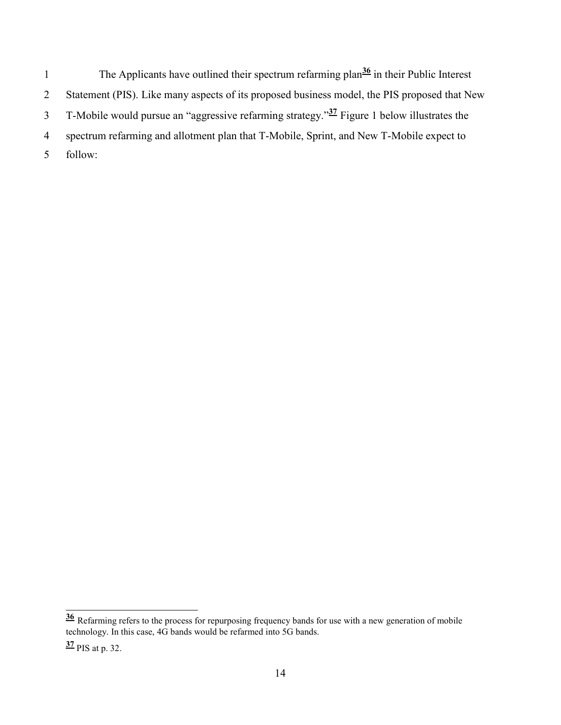The Applicants have outlined their spectrum refarming plan<sup>36</sup> in their Public Interest 2 Statement (PIS). Like many aspects of its proposed business model, the PIS proposed that New T-Mobile would pursue an "aggressive refarming strategy."<sup>37</sup> Figure 1 below illustrates the 4 spectrum refarming and allotment plan that T-Mobile, Sprint, and New T-Mobile expect to 5 follow:

 $\frac{1}{2}$ 

**<sup>36</sup>** Refarming refers to the process for repurposing frequency bands for use with a new generation of mobile technology. In this case, 4G bands would be refarmed into 5G bands.

**<sup>37</sup>** PIS at p. 32.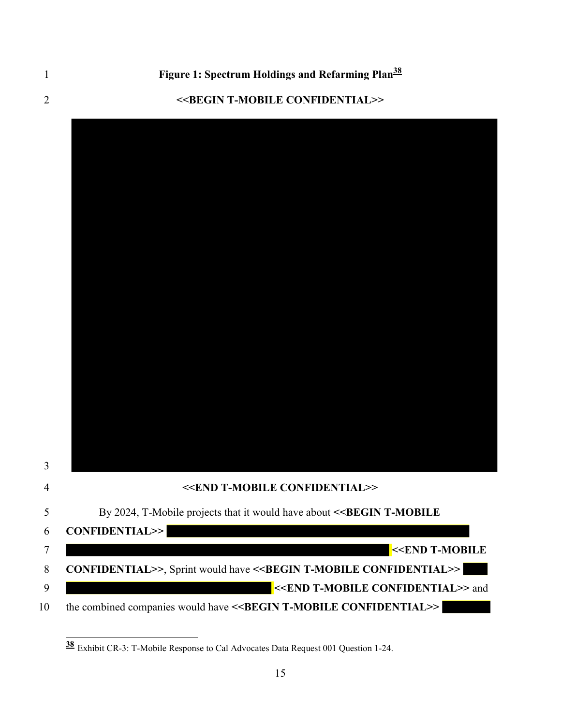$\frac{1}{2}$ 

#### **<<BEGIN T-MOBILE CONFIDENTIAL>>**



Exhibit CR-3: T-Mobile Response to Cal Advocates Data Request 001 Question 1-24.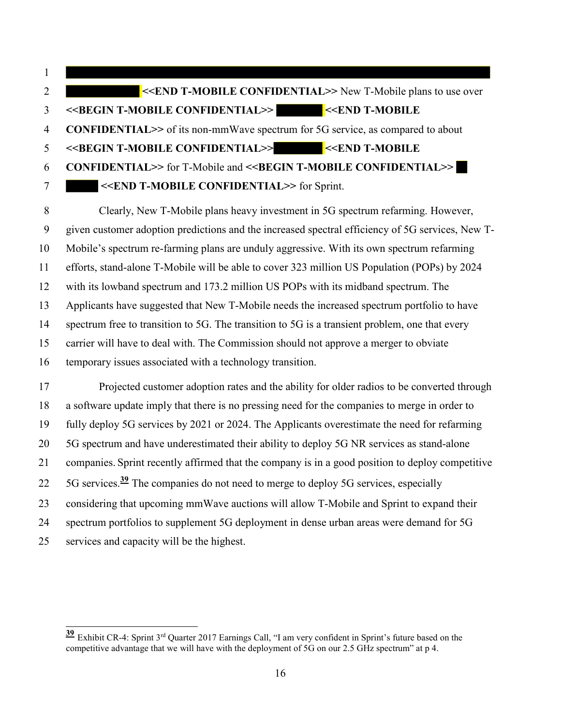1 **<<END T-MOBILE CONFIDENTIAL>>** New T-Mobile plans to use over **<<BEGIN T-MOBILE CONFIDENTIAL>> <<END T-MOBILE CONFIDENTIAL>>** of its non-mmWave spectrum for 5G service, as compared to about **<<BEGIN T-MOBILE CONFIDENTIAL>> <<END T-MOBILE CONFIDENTIAL>>** for T-Mobile and **<<BEGIN T-MOBILE CONFIDENTIAL>> <<END T-MOBILE CONFIDENTIAL>>** for Sprint. 7

8 Clearly, New T-Mobile plans heavy investment in 5G spectrum refarming. However, 9 given customer adoption predictions and the increased spectral efficiency of 5G services, New T-10 Mobile's spectrum re-farming plans are unduly aggressive. With its own spectrum refarming 11 efforts, stand-alone T-Mobile will be able to cover 323 million US Population (POPs) by 2024 12 with its lowband spectrum and 173.2 million US POPs with its midband spectrum. The 13 Applicants have suggested that New T-Mobile needs the increased spectrum portfolio to have 14 spectrum free to transition to 5G. The transition to 5G is a transient problem, one that every 15 carrier will have to deal with. The Commission should not approve a merger to obviate 16 temporary issues associated with a technology transition.

17 Projected customer adoption rates and the ability for older radios to be converted through 18 a software update imply that there is no pressing need for the companies to merge in order to 19 fully deploy 5G services by 2021 or 2024. The Applicants overestimate the need for refarming 20 5G spectrum and have underestimated their ability to deploy 5G NR services as stand-alone 21 companies. Sprint recently affirmed that the company is in a good position to deploy competitive 5G services.**<sup>39</sup>** 22 The companies do not need to merge to deploy 5G services, especially 23 considering that upcoming mmWave auctions will allow T-Mobile and Sprint to expand their 24 spectrum portfolios to supplement 5G deployment in dense urban areas were demand for 5G services and capacity will be the highest. 25

 $\overline{1}$ 

**<sup>39</sup>** Exhibit CR-4: Sprint 3rd Quarter 2017 Earnings Call, "I am very confident in Sprint's future based on the competitive advantage that we will have with the deployment of 5G on our 2.5 GHz spectrum" at p 4.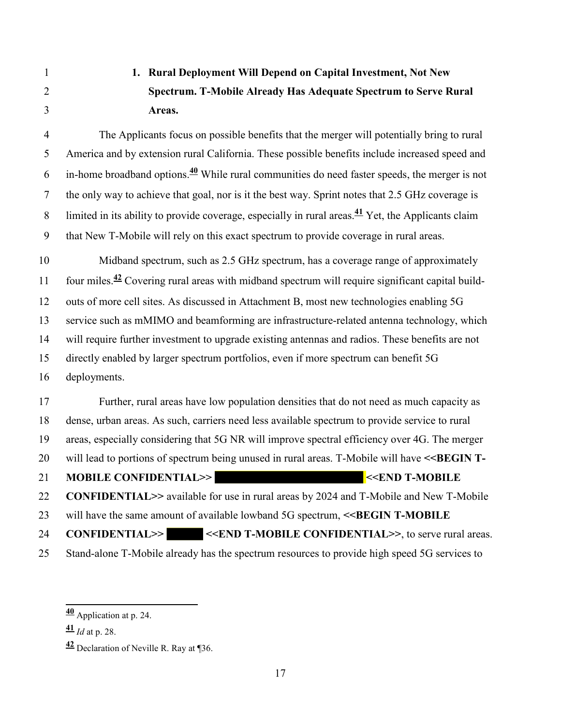# 1 **1. Rural Deployment Will Depend on Capital Investment, Not New**  2 **Spectrum. T-Mobile Already Has Adequate Spectrum to Serve Rural**  3 **Areas.**

4 The Applicants focus on possible benefits that the merger will potentially bring to rural 5 America and by extension rural California. These possible benefits include increased speed and 6 in-home broadband options.<sup> $40$ </sup> While rural communities do need faster speeds, the merger is not 7 the only way to achieve that goal, nor is it the best way. Sprint notes that 2.5 GHz coverage is limited in its ability to provide coverage, especially in rural areas.**<sup>41</sup>** 8 Yet, the Applicants claim 9 that New T-Mobile will rely on this exact spectrum to provide coverage in rural areas.

10 Midband spectrum, such as 2.5 GHz spectrum, has a coverage range of approximately 11 four miles.<sup>42</sup> Covering rural areas with midband spectrum will require significant capital build-12 outs of more cell sites. As discussed in Attachment B, most new technologies enabling 5G 13 service such as mMIMO and beamforming are infrastructure-related antenna technology, which 14 will require further investment to upgrade existing antennas and radios. These benefits are not 15 directly enabled by larger spectrum portfolios, even if more spectrum can benefit 5G 16 deployments.

17 Further, rural areas have low population densities that do not need as much capacity as 18 dense, urban areas. As such, carriers need less available spectrum to provide service to rural 19 areas, especially considering that 5G NR will improve spectral efficiency over 4G. The merger 20 will lead to portions of spectrum being unused in rural areas. T-Mobile will have **<<BEGIN T-**21 **MOBILE CONFIDENTIAL>>** <**END T-MOBILE** 22 **CONFIDENTIAL>>** available for use in rural areas by 2024 and T-Mobile and New T-Mobile 23 will have the same amount of available lowband 5G spectrum,  $\leq$ **BEGIN T-MOBILE** 24 **CONFIDENTIAL>>** <<**END T-MOBILE CONFIDENTIAL>>**, to serve rural areas.

25 Stand-alone T-Mobile already has the spectrum resources to provide high speed 5G services to

 $\overline{a}$ **<sup>40</sup>** Application at p. 24.

**<sup>41</sup>** *Id* at p. 28.

**<sup>42</sup>** Declaration of Neville R. Ray at ¶36.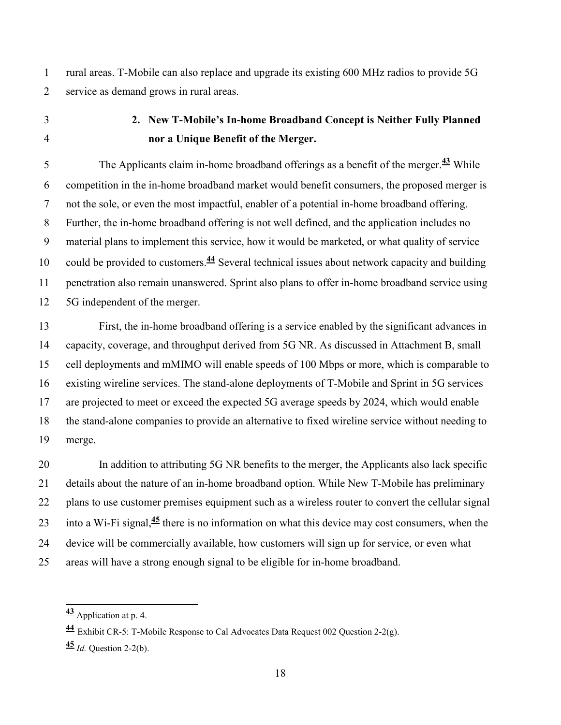1 rural areas. T-Mobile can also replace and upgrade its existing 600 MHz radios to provide 5G 2 service as demand grows in rural areas.

- 
- 3 **2. New T-Mobile's In-home Broadband Concept is Neither Fully Planned**  4 **nor a Unique Benefit of the Merger.**

The Applicants claim in-home broadband offerings as a benefit of the merger.<sup>43</sup> While 6 competition in the in-home broadband market would benefit consumers, the proposed merger is 7 not the sole, or even the most impactful, enabler of a potential in-home broadband offering. 8 Further, the in-home broadband offering is not well defined, and the application includes no 9 material plans to implement this service, how it would be marketed, or what quality of service 10 could be provided to customers.<sup>44</sup> Several technical issues about network capacity and building 11 penetration also remain unanswered. Sprint also plans to offer in-home broadband service using 12 5G independent of the merger.

13 First, the in-home broadband offering is a service enabled by the significant advances in 14 capacity, coverage, and throughput derived from 5G NR. As discussed in Attachment B, small 15 cell deployments and mMIMO will enable speeds of 100 Mbps or more, which is comparable to 16 existing wireline services. The stand-alone deployments of T-Mobile and Sprint in 5G services 17 are projected to meet or exceed the expected 5G average speeds by 2024, which would enable 18 the stand-alone companies to provide an alternative to fixed wireline service without needing to 19 merge.

20 In addition to attributing 5G NR benefits to the merger, the Applicants also lack specific 21 details about the nature of an in-home broadband option. While New T-Mobile has preliminary 22 plans to use customer premises equipment such as a wireless router to convert the cellular signal 23 into a Wi-Fi signal,<sup>45</sup> there is no information on what this device may cost consumers, when the 24 device will be commercially available, how customers will sign up for service, or even what 25 areas will have a strong enough signal to be eligible for in-home broadband.

 $\overline{a}$ **<sup>43</sup>** Application at p. 4.

**<sup>44</sup>** Exhibit CR-5: T-Mobile Response to Cal Advocates Data Request 002 Question 2-2(g).

 $\frac{45}{1}$  *Id.* Ouestion 2-2(b).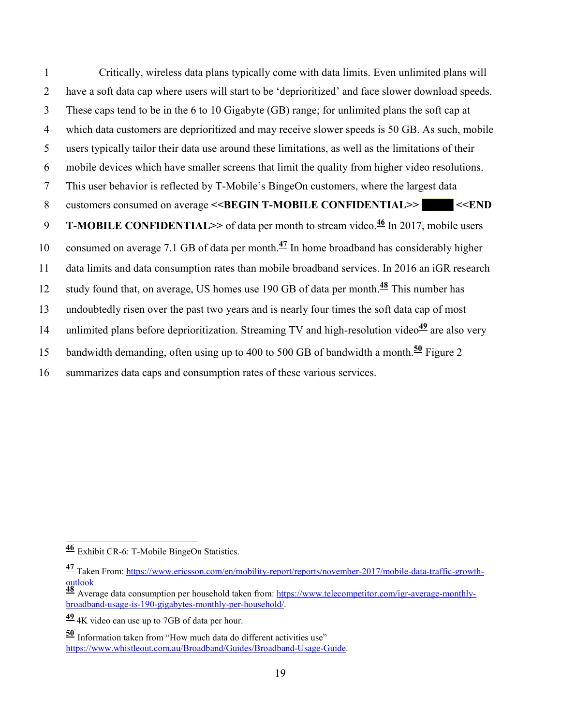1 Critically, wireless data plans typically come with data limits. Even unlimited plans will 2 have a soft data cap where users will start to be 'deprioritized' and face slower download speeds. 3 These caps tend to be in the 6 to 10 Gigabyte (GB) range; for unlimited plans the soft cap at 4 which data customers are deprioritized and may receive slower speeds is 50 GB. As such, mobile 5 users typically tailor their data use around these limitations, as well as the limitations of their 6 mobile devices which have smaller screens that limit the quality from higher video resolutions. 7 This user behavior is reflected by T-Mobile's BingeOn customers, where the largest data 8 customers consumed on average <<BEGIN T-MOBILE CONFIDENTIAL>> <<END **T-MOBILE CONFIDENTIAL>>** of data per month to stream video.<sup>46</sup> In 2017, mobile users 10 consumed on average 7.1 GB of data per month. $\frac{47}{10}$  In home broadband has considerably higher 11 data limits and data consumption rates than mobile broadband services. In 2016 an iGR research 12 study found that, on average, US homes use 190 GB of data per month.<sup>48</sup> This number has 13 undoubtedly risen over the past two years and is nearly four times the soft data cap of most 14 unlimited plans before deprioritization. Streaming TV and high-resolution video<sup>49</sup> are also very 15 bandwidth demanding, often using up to 400 to 500 GB of bandwidth a month.<sup>50</sup> Figure 2 summarizes data caps and consumption rates of these various services. 16

**<sup>49</sup>** 4K video can use up to 7GB of data per hour.

**<sup>50</sup>** Information taken from "How much data do different activities use" https://www.whistleout.com.au/Broadband/Guides/Broadband-Usage-Guide.

 $\overline{a}$ **<sup>46</sup>** Exhibit CR-6: T-Mobile BingeOn Statistics.

**<sup>47</sup>** Taken From: https://www.ericsson.com/en/mobility-report/reports/november-2017/mobile-data-traffic-growthoutlook<br><mark>48</mark> Average data consumption per household taken from: <u>https://www.telecompetitor.com/igr-average-monthly-</u>

broadband-usage-is-190-gigabytes-monthly-per-household/.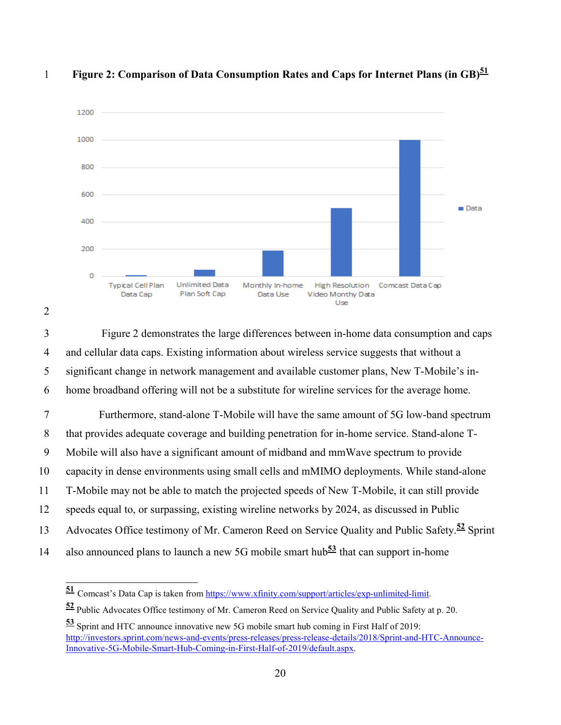

#### **Figure 2: Comparison of Data Consumption Rates and Caps for Internet Plans (in GB)<sup>51</sup>** 1



 $\overline{a}$ 

3 Figure 2 demonstrates the large differences between in-home data consumption and caps 4 and cellular data caps. Existing information about wireless service suggests that without a 5 significant change in network management and available customer plans, New T-Mobile's in-6 home broadband offering will not be a substitute for wireline services for the average home.

7 Furthermore, stand-alone T-Mobile will have the same amount of 5G low-band spectrum 8 that provides adequate coverage and building penetration for in-home service. Stand-alone T-9 Mobile will also have a significant amount of midband and mmWave spectrum to provide 10 capacity in dense environments using small cells and mMIMO deployments. While stand-alone 11 T-Mobile may not be able to match the projected speeds of New T-Mobile, it can still provide 12 speeds equal to, or surpassing, existing wireline networks by 2024, as discussed in Public 13 Advocates Office testimony of Mr. Cameron Reed on Service Quality and Public Safety.<sup>52</sup> Sprint 14 also announced plans to launch a new 5G mobile smart hub<sup>53</sup> that can support in-home

<sup>51</sup> Comcast's Data Cap is taken from https://www.xfinity.com/support/articles/exp-unlimited-limit.

**<sup>52</sup>** Public Advocates Office testimony of Mr. Cameron Reed on Service Quality and Public Safety at p. 20.

**<sup>53</sup>** Sprint and HTC announce innovative new 5G mobile smart hub coming in First Half of 2019: http://investors.sprint.com/news-and-events/press-releases/press-release-details/2018/Sprint-and-HTC-Announce-Innovative-5G-Mobile-Smart-Hub-Coming-in-First-Half-of-2019/default.aspx.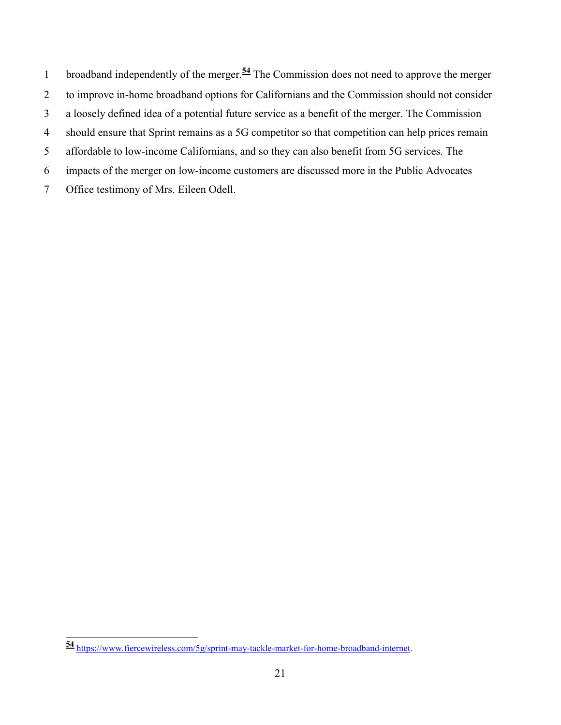1 broadband independently of the merger.<sup>54</sup> The Commission does not need to approve the merger 2 to improve in-home broadband options for Californians and the Commission should not consider 3 a loosely defined idea of a potential future service as a benefit of the merger. The Commission 4 should ensure that Sprint remains as a 5G competitor so that competition can help prices remain 5 affordable to low-income Californians, and so they can also benefit from 5G services. The 6 impacts of the merger on low-income customers are discussed more in the Public Advocates 7 Office testimony of Mrs. Eileen Odell.

 $\overline{a}$ **<sup>54</sup>** https://www.fiercewireless.com/5g/sprint-may-tackle-market-for-home-broadband-internet.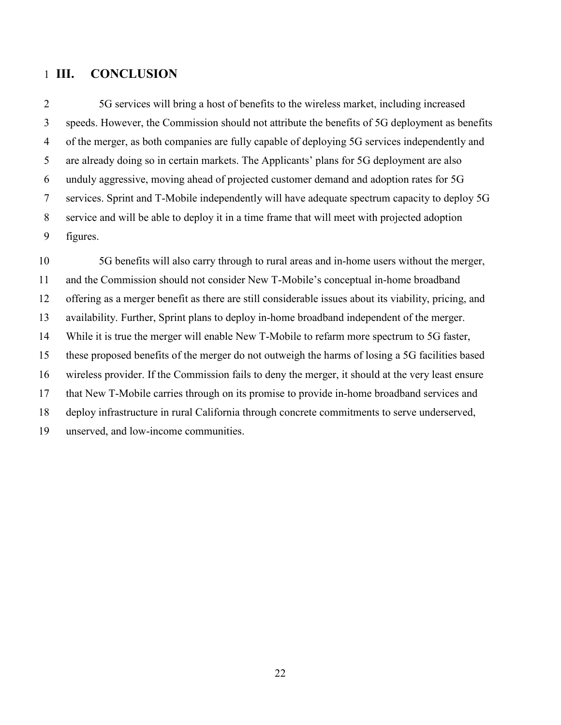#### 1 **III. CONCLUSION**

2 5G services will bring a host of benefits to the wireless market, including increased 3 speeds. However, the Commission should not attribute the benefits of 5G deployment as benefits 4 of the merger, as both companies are fully capable of deploying 5G services independently and 5 are already doing so in certain markets. The Applicants' plans for 5G deployment are also 6 unduly aggressive, moving ahead of projected customer demand and adoption rates for 5G 7 services. Sprint and T-Mobile independently will have adequate spectrum capacity to deploy 5G 8 service and will be able to deploy it in a time frame that will meet with projected adoption 9 figures.

10 5G benefits will also carry through to rural areas and in-home users without the merger, 11 and the Commission should not consider New T-Mobile's conceptual in-home broadband 12 offering as a merger benefit as there are still considerable issues about its viability, pricing, and 13 availability. Further, Sprint plans to deploy in-home broadband independent of the merger. 14 While it is true the merger will enable New T-Mobile to refarm more spectrum to 5G faster, 15 these proposed benefits of the merger do not outweigh the harms of losing a 5G facilities based 16 wireless provider. If the Commission fails to deny the merger, it should at the very least ensure 17 that New T-Mobile carries through on its promise to provide in-home broadband services and 18 deploy infrastructure in rural California through concrete commitments to serve underserved, 19 unserved, and low-income communities.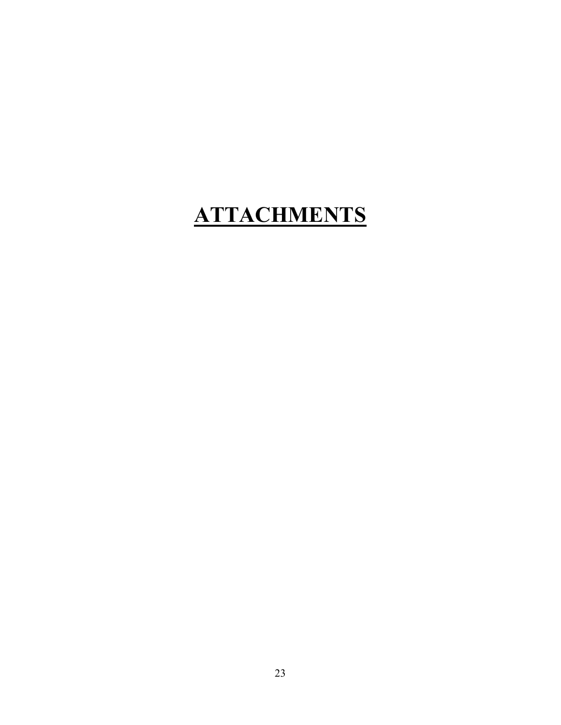# **ATTACHMENTS**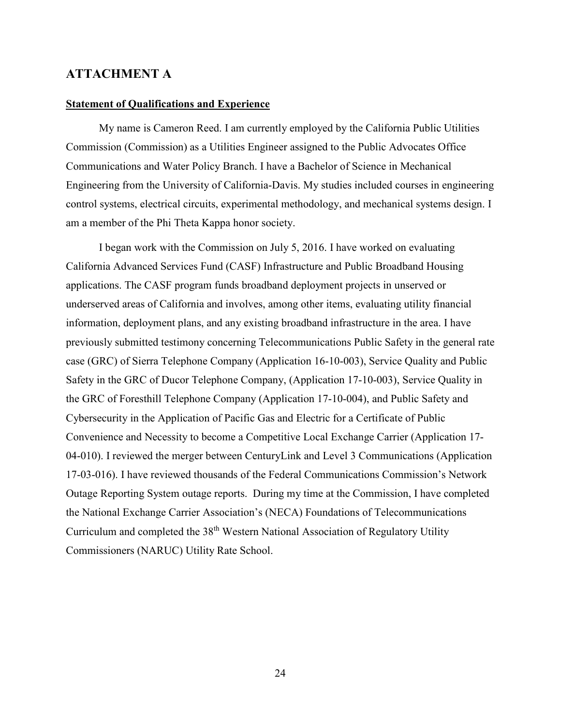#### **ATTACHMENT A**

#### **Statement of Qualifications and Experience**

My name is Cameron Reed. I am currently employed by the California Public Utilities Commission (Commission) as a Utilities Engineer assigned to the Public Advocates Office Communications and Water Policy Branch. I have a Bachelor of Science in Mechanical Engineering from the University of California-Davis. My studies included courses in engineering control systems, electrical circuits, experimental methodology, and mechanical systems design. I am a member of the Phi Theta Kappa honor society.

I began work with the Commission on July 5, 2016. I have worked on evaluating California Advanced Services Fund (CASF) Infrastructure and Public Broadband Housing applications. The CASF program funds broadband deployment projects in unserved or underserved areas of California and involves, among other items, evaluating utility financial information, deployment plans, and any existing broadband infrastructure in the area. I have previously submitted testimony concerning Telecommunications Public Safety in the general rate case (GRC) of Sierra Telephone Company (Application 16-10-003), Service Quality and Public Safety in the GRC of Ducor Telephone Company, (Application 17-10-003), Service Quality in the GRC of Foresthill Telephone Company (Application 17-10-004), and Public Safety and Cybersecurity in the Application of Pacific Gas and Electric for a Certificate of Public Convenience and Necessity to become a Competitive Local Exchange Carrier (Application 17- 04-010). I reviewed the merger between CenturyLink and Level 3 Communications (Application 17-03-016). I have reviewed thousands of the Federal Communications Commission's Network Outage Reporting System outage reports. During my time at the Commission, I have completed the National Exchange Carrier Association's (NECA) Foundations of Telecommunications Curriculum and completed the 38th Western National Association of Regulatory Utility Commissioners (NARUC) Utility Rate School.

24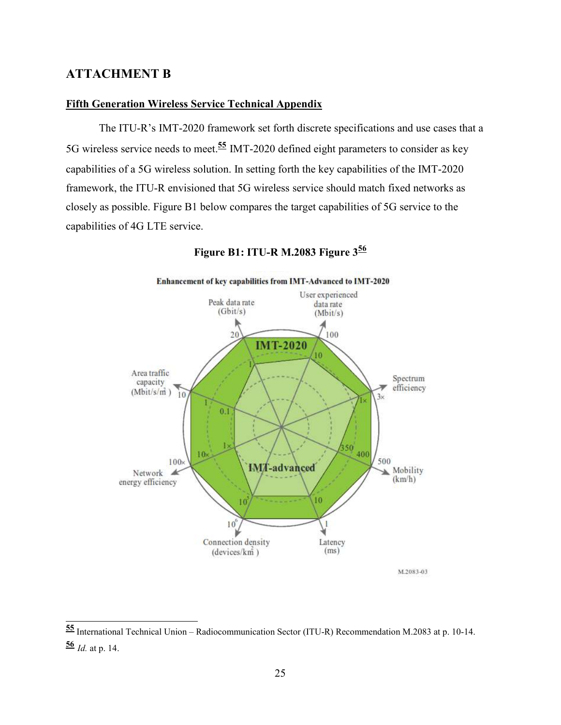#### **ATTACHMENT B**

 $\overline{a}$ 

#### **Fifth Generation Wireless Service Technical Appendix**

The ITU-R's IMT-2020 framework set forth discrete specifications and use cases that a 5G wireless service needs to meet.**<sup>55</sup>** IMT-2020 defined eight parameters to consider as key capabilities of a 5G wireless solution. In setting forth the key capabilities of the IMT-2020 framework, the ITU-R envisioned that 5G wireless service should match fixed networks as closely as possible. Figure B1 below compares the target capabilities of 5G service to the capabilities of 4G LTE service.



**Figure B1: ITU-R M.2083 Figure 3<sup>56</sup>**

**<sup>55</sup>** International Technical Union – Radiocommunication Sector (ITU-R) Recommendation M.2083 at p. 10-14. **<sup>56</sup>** *Id.* at p. 14.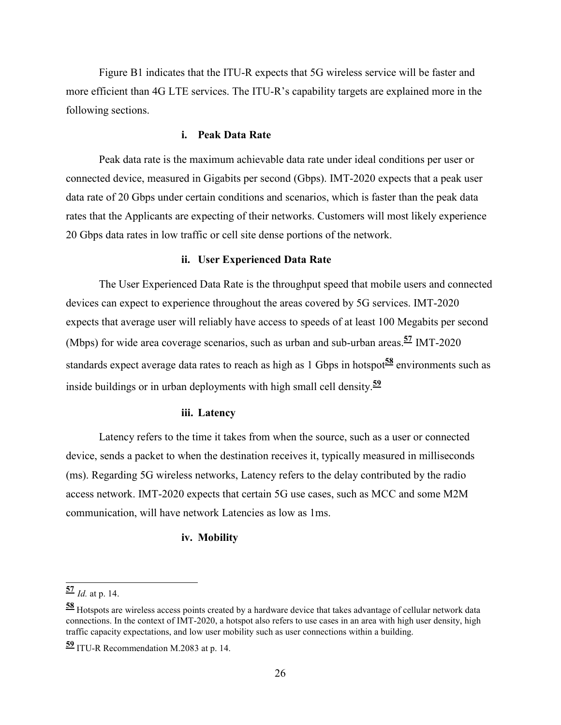Figure B1 indicates that the ITU-R expects that 5G wireless service will be faster and more efficient than 4G LTE services. The ITU-R's capability targets are explained more in the following sections.

#### **i. Peak Data Rate**

Peak data rate is the maximum achievable data rate under ideal conditions per user or connected device, measured in Gigabits per second (Gbps). IMT-2020 expects that a peak user data rate of 20 Gbps under certain conditions and scenarios, which is faster than the peak data rates that the Applicants are expecting of their networks. Customers will most likely experience 20 Gbps data rates in low traffic or cell site dense portions of the network.

#### **ii. User Experienced Data Rate**

The User Experienced Data Rate is the throughput speed that mobile users and connected devices can expect to experience throughout the areas covered by 5G services. IMT-2020 expects that average user will reliably have access to speeds of at least 100 Megabits per second (Mbps) for wide area coverage scenarios, such as urban and sub-urban areas.**<sup>57</sup>** IMT-2020 standards expect average data rates to reach as high as 1 Gbps in hotspot**58** environments such as inside buildings or in urban deployments with high small cell density.**<sup>59</sup>**

#### **iii. Latency**

Latency refers to the time it takes from when the source, such as a user or connected device, sends a packet to when the destination receives it, typically measured in milliseconds (ms). Regarding 5G wireless networks, Latency refers to the delay contributed by the radio access network. IMT-2020 expects that certain 5G use cases, such as MCC and some M2M communication, will have network Latencies as low as 1ms.

#### **iv. Mobility**

 $\overline{a}$ 

**<sup>57</sup>** *Id.* at p. 14.

**<sup>58</sup>** Hotspots are wireless access points created by a hardware device that takes advantage of cellular network data connections. In the context of IMT-2020, a hotspot also refers to use cases in an area with high user density, high traffic capacity expectations, and low user mobility such as user connections within a building.

**<sup>59</sup>** ITU-R Recommendation M.2083 at p. 14.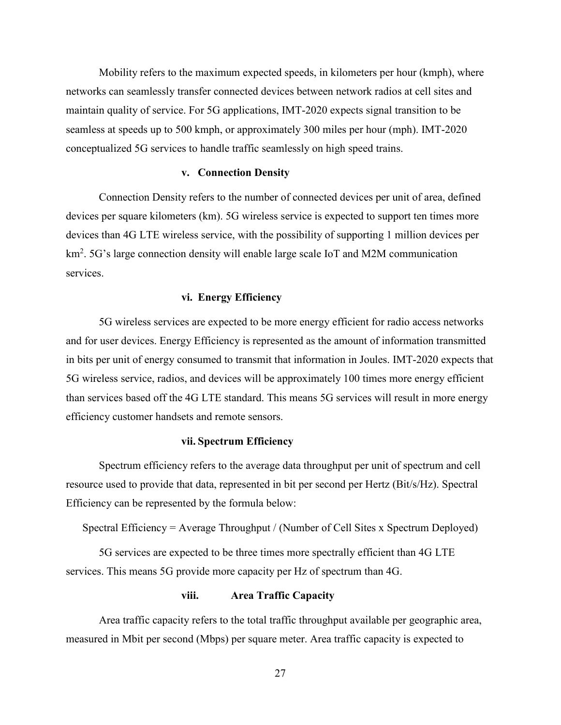Mobility refers to the maximum expected speeds, in kilometers per hour (kmph), where networks can seamlessly transfer connected devices between network radios at cell sites and maintain quality of service. For 5G applications, IMT-2020 expects signal transition to be seamless at speeds up to 500 kmph, or approximately 300 miles per hour (mph). IMT-2020 conceptualized 5G services to handle traffic seamlessly on high speed trains.

#### **v. Connection Density**

Connection Density refers to the number of connected devices per unit of area, defined devices per square kilometers (km). 5G wireless service is expected to support ten times more devices than 4G LTE wireless service, with the possibility of supporting 1 million devices per km<sup>2</sup>. 5G's large connection density will enable large scale IoT and M2M communication services.

#### **vi. Energy Efficiency**

5G wireless services are expected to be more energy efficient for radio access networks and for user devices. Energy Efficiency is represented as the amount of information transmitted in bits per unit of energy consumed to transmit that information in Joules. IMT-2020 expects that 5G wireless service, radios, and devices will be approximately 100 times more energy efficient than services based off the 4G LTE standard. This means 5G services will result in more energy efficiency customer handsets and remote sensors.

#### **vii. Spectrum Efficiency**

Spectrum efficiency refers to the average data throughput per unit of spectrum and cell resource used to provide that data, represented in bit per second per Hertz (Bit/s/Hz). Spectral Efficiency can be represented by the formula below:

Spectral Efficiency = Average Throughput / (Number of Cell Sites x Spectrum Deployed)

 5G services are expected to be three times more spectrally efficient than 4G LTE services. This means 5G provide more capacity per Hz of spectrum than 4G.

#### **viii. Area Traffic Capacity**

Area traffic capacity refers to the total traffic throughput available per geographic area, measured in Mbit per second (Mbps) per square meter. Area traffic capacity is expected to

27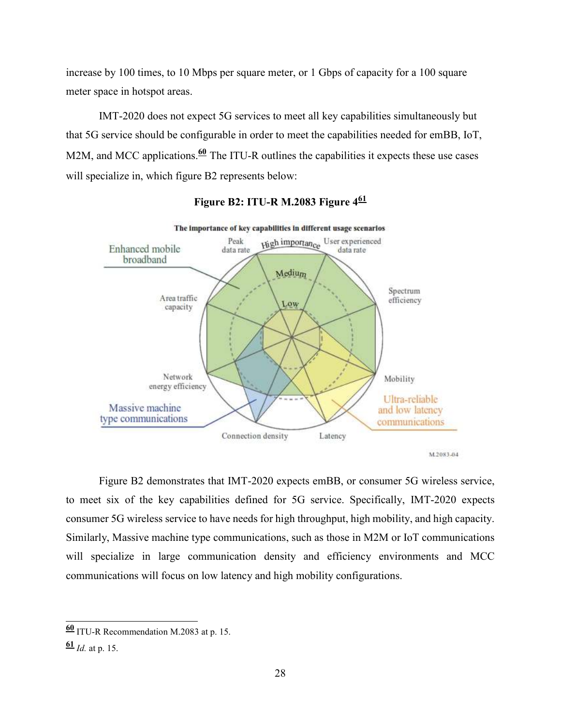increase by 100 times, to 10 Mbps per square meter, or 1 Gbps of capacity for a 100 square meter space in hotspot areas.

IMT-2020 does not expect 5G services to meet all key capabilities simultaneously but that 5G service should be configurable in order to meet the capabilities needed for emBB, IoT, M2M, and MCC applications.<sup>60</sup> The ITU-R outlines the capabilities it expects these use cases will specialize in, which figure B2 represents below:



#### **Figure B2: ITU-R M.2083 Figure 4<sup>61</sup>**

Figure B2 demonstrates that IMT-2020 expects emBB, or consumer 5G wireless service, to meet six of the key capabilities defined for 5G service. Specifically, IMT-2020 expects consumer 5G wireless service to have needs for high throughput, high mobility, and high capacity. Similarly, Massive machine type communications, such as those in M2M or IoT communications will specialize in large communication density and efficiency environments and MCC communications will focus on low latency and high mobility configurations.

 $\overline{\phantom{a}}$ 

**<sup>60</sup>** ITU-R Recommendation M.2083 at p. 15.

**<sup>61</sup>** *Id.* at p. 15.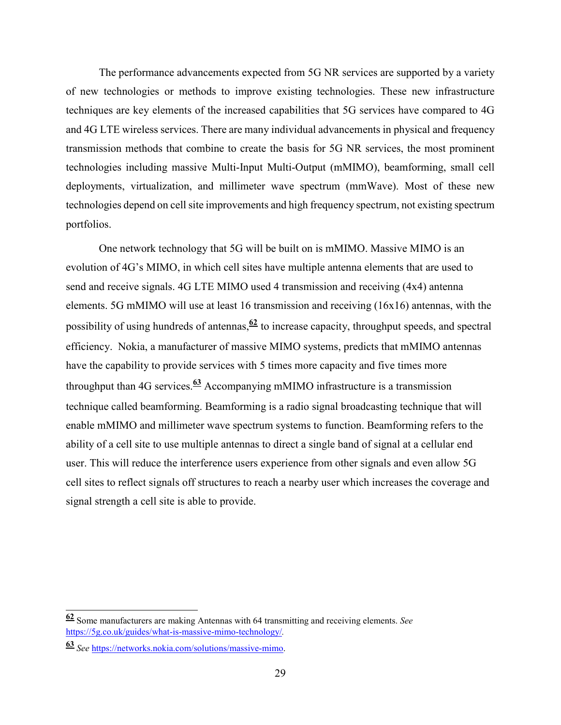The performance advancements expected from 5G NR services are supported by a variety of new technologies or methods to improve existing technologies. These new infrastructure techniques are key elements of the increased capabilities that 5G services have compared to 4G and 4G LTE wireless services. There are many individual advancements in physical and frequency transmission methods that combine to create the basis for 5G NR services, the most prominent technologies including massive Multi-Input Multi-Output (mMIMO), beamforming, small cell deployments, virtualization, and millimeter wave spectrum (mmWave). Most of these new technologies depend on cell site improvements and high frequency spectrum, not existing spectrum portfolios.

One network technology that 5G will be built on is mMIMO. Massive MIMO is an evolution of 4G's MIMO, in which cell sites have multiple antenna elements that are used to send and receive signals. 4G LTE MIMO used 4 transmission and receiving (4x4) antenna elements. 5G mMIMO will use at least 16 transmission and receiving (16x16) antennas, with the possibility of using hundreds of antennas,**<sup>62</sup>** to increase capacity, throughput speeds, and spectral efficiency. Nokia, a manufacturer of massive MIMO systems, predicts that mMIMO antennas have the capability to provide services with 5 times more capacity and five times more throughput than 4G services.**63** Accompanying mMIMO infrastructure is a transmission technique called beamforming. Beamforming is a radio signal broadcasting technique that will enable mMIMO and millimeter wave spectrum systems to function. Beamforming refers to the ability of a cell site to use multiple antennas to direct a single band of signal at a cellular end user. This will reduce the interference users experience from other signals and even allow 5G cell sites to reflect signals off structures to reach a nearby user which increases the coverage and signal strength a cell site is able to provide.

 $\overline{\phantom{a}}$ 

**<sup>62</sup>** Some manufacturers are making Antennas with 64 transmitting and receiving elements. *See*  https://5g.co.uk/guides/what-is-massive-mimo-technology/*.*

**<sup>63</sup>** *See* https://networks.nokia.com/solutions/massive-mimo.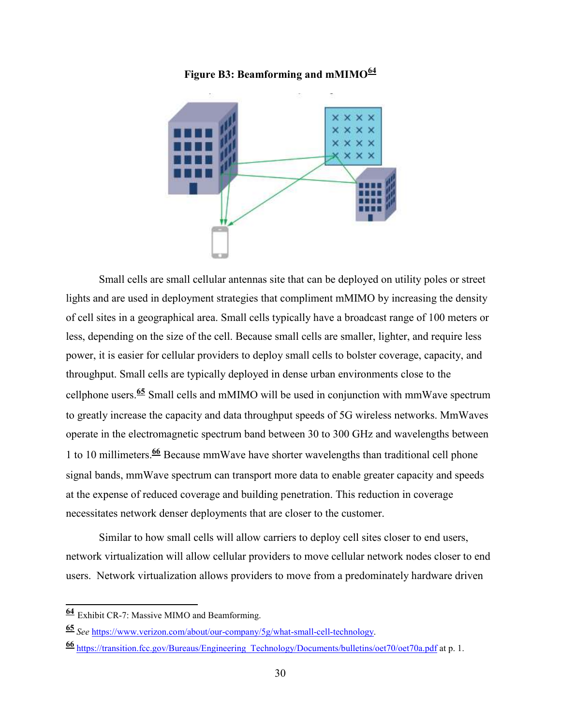



 Small cells are small cellular antennas site that can be deployed on utility poles or street lights and are used in deployment strategies that compliment mMIMO by increasing the density of cell sites in a geographical area. Small cells typically have a broadcast range of 100 meters or less, depending on the size of the cell. Because small cells are smaller, lighter, and require less power, it is easier for cellular providers to deploy small cells to bolster coverage, capacity, and throughput. Small cells are typically deployed in dense urban environments close to the cellphone users.**<sup>65</sup>** Small cells and mMIMO will be used in conjunction with mmWave spectrum to greatly increase the capacity and data throughput speeds of 5G wireless networks. MmWaves operate in the electromagnetic spectrum band between 30 to 300 GHz and wavelengths between 1 to 10 millimeters.**<sup>66</sup>** Because mmWave have shorter wavelengths than traditional cell phone signal bands, mmWave spectrum can transport more data to enable greater capacity and speeds at the expense of reduced coverage and building penetration. This reduction in coverage necessitates network denser deployments that are closer to the customer.

 Similar to how small cells will allow carriers to deploy cell sites closer to end users, network virtualization will allow cellular providers to move cellular network nodes closer to end users. Network virtualization allows providers to move from a predominately hardware driven

 $\overline{\phantom{a}}$ 

**<sup>64</sup>** Exhibit CR-7: Massive MIMO and Beamforming.

**<sup>65</sup>** *See* https://www.verizon.com/about/our-company/5g/what-small-cell-technology.

**<sup>66</sup>** https://transition.fcc.gov/Bureaus/Engineering\_Technology/Documents/bulletins/oet70/oet70a.pdf at p. 1.